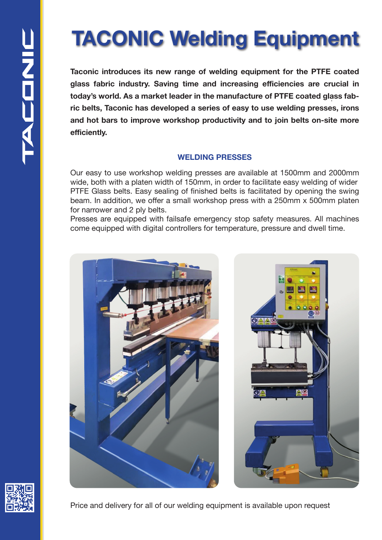## **TACONIC Welding Equipment**

. **today's world. As a market leader in the manufacture of PTFE coated glass fab-Taconic introduces its new range of welding equipment for the PTFE coated glass fabric industry. Saving time and increasing efficiencies are crucial in ric belts, Taconic has developed a series of easy to use welding presses, irons and hot bars to improve workshop productivity and to join belts on-site more efficiently.**

## **WELDING PRESSES**

Our easy to use workshop welding presses are available at 1500mm and 2000mm wide, both with a platen width of 150mm, in order to facilitate easy welding of wider PTFE Glass belts. Easy sealing of finished belts is facilitated by opening the swing beam. In addition, we offer a small workshop press with a 250mm x 500mm platen for narrower and 2 ply belts.

Presses are equipped with failsafe emergency stop safety measures. All machines come equipped with digital controllers for temperature, pressure and dwell time.





Price and delivery for all of our welding equipment is available upon request